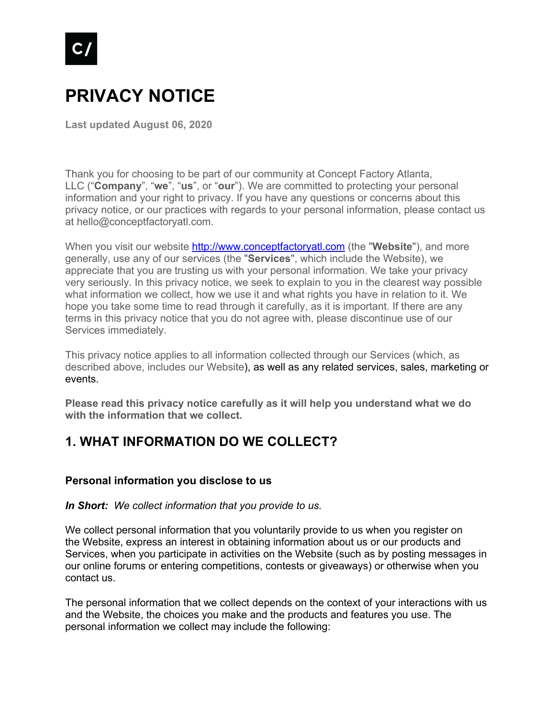

# **PRIVACY NOTICE**

**Last updated August 06, 2020**

Thank you for choosing to be part of our community at Concept Factory Atlanta, LLC ("**Company**", "**we**", "**us**", or "**our**"). We are committed to protecting your personal information and your right to privacy. If you have any questions or concerns about this privacy notice, or our practices with regards to your personal information, please contact us at hello@conceptfactoryatl.com.

When you visit our website http://www.conceptfactoryatl.com (the "**Website**"), and more generally, use any of our services (the "**Services**", which include the Website), we appreciate that you are trusting us with your personal information. We take your privacy very seriously. In this privacy notice, we seek to explain to you in the clearest way possible what information we collect, how we use it and what rights you have in relation to it. We hope you take some time to read through it carefully, as it is important. If there are any terms in this privacy notice that you do not agree with, please discontinue use of our Services immediately.

This privacy notice applies to all information collected through our Services (which, as described above, includes our Website), as well as any related services, sales, marketing or events.

**Please read this privacy notice carefully as it will help you understand what we do with the information that we collect.**

# **1. WHAT INFORMATION DO WE COLLECT?**

#### **Personal information you disclose to us**

*In Short: We collect information that you provide to us.*

We collect personal information that you voluntarily provide to us when you register on the Website, express an interest in obtaining information about us or our products and Services, when you participate in activities on the Website (such as by posting messages in our online forums or entering competitions, contests or giveaways) or otherwise when you contact us.

The personal information that we collect depends on the context of your interactions with us and the Website, the choices you make and the products and features you use. The personal information we collect may include the following: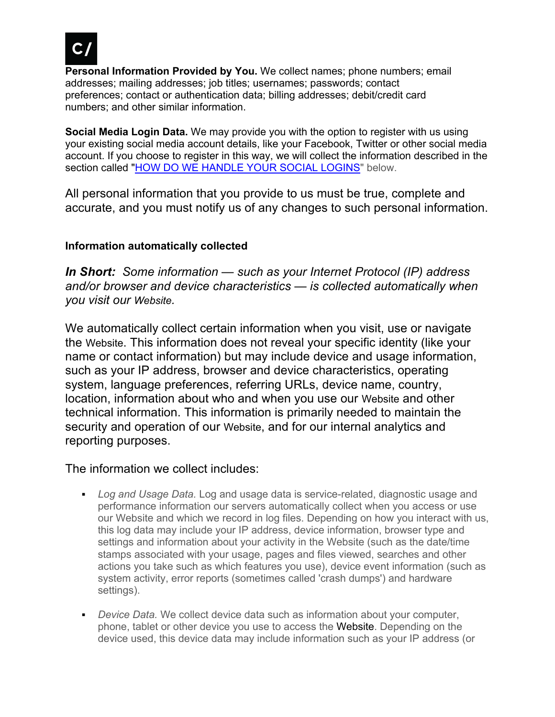

**Personal Information Provided by You.** We collect names; phone numbers; email addresses; mailing addresses; job titles; usernames; passwords; contact preferences; contact or authentication data; billing addresses; debit/credit card numbers; and other similar information.

**Social Media Login Data.** We may provide you with the option to register with us using your existing social media account details, like your Facebook, Twitter or other social media account. If you choose to register in this way, we will collect the information described in the section called "HOW DO WE HANDLE YOUR SOCIAL LOGINS" below.

All personal information that you provide to us must be true, complete and accurate, and you must notify us of any changes to such personal information.

### **Information automatically collected**

*In Short: Some information — such as your Internet Protocol (IP) address and/or browser and device characteristics — is collected automatically when you visit our Website.*

We automatically collect certain information when you visit, use or navigate the Website. This information does not reveal your specific identity (like your name or contact information) but may include device and usage information, such as your IP address, browser and device characteristics, operating system, language preferences, referring URLs, device name, country, location, information about who and when you use our Website and other technical information. This information is primarily needed to maintain the security and operation of our Website, and for our internal analytics and reporting purposes.

The information we collect includes:

- *Log and Usage Data.* Log and usage data is service-related, diagnostic usage and performance information our servers automatically collect when you access or use our Website and which we record in log files. Depending on how you interact with us, this log data may include your IP address, device information, browser type and settings and information about your activity in the Website (such as the date/time stamps associated with your usage, pages and files viewed, searches and other actions you take such as which features you use), device event information (such as system activity, error reports (sometimes called 'crash dumps') and hardware settings).
- § *Device Data.* We collect device data such as information about your computer, phone, tablet or other device you use to access the Website. Depending on the device used, this device data may include information such as your IP address (or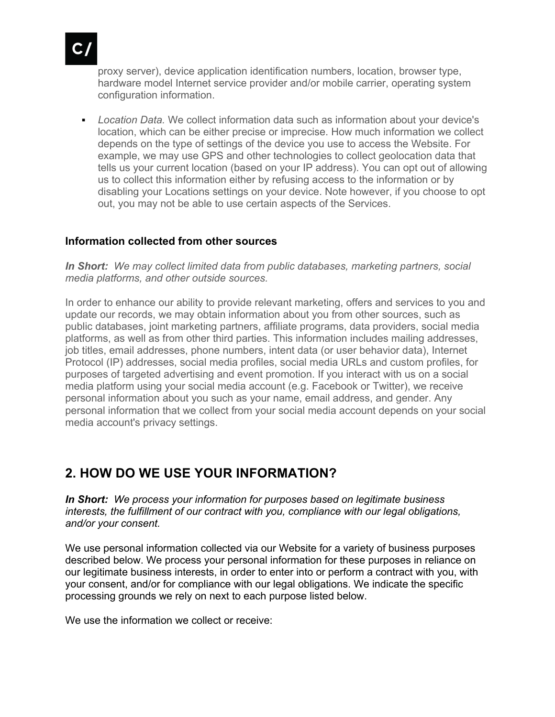

proxy server), device application identification numbers, location, browser type, hardware model Internet service provider and/or mobile carrier, operating system configuration information.

§ *Location Data.* We collect information data such as information about your device's location, which can be either precise or imprecise. How much information we collect depends on the type of settings of the device you use to access the Website. For example, we may use GPS and other technologies to collect geolocation data that tells us your current location (based on your IP address). You can opt out of allowing us to collect this information either by refusing access to the information or by disabling your Locations settings on your device. Note however, if you choose to opt out, you may not be able to use certain aspects of the Services.

### **Information collected from other sources**

*In Short: We may collect limited data from public databases, marketing partners, social media platforms, and other outside sources.*

In order to enhance our ability to provide relevant marketing, offers and services to you and update our records, we may obtain information about you from other sources, such as public databases, joint marketing partners, affiliate programs, data providers, social media platforms, as well as from other third parties. This information includes mailing addresses, job titles, email addresses, phone numbers, intent data (or user behavior data), Internet Protocol (IP) addresses, social media profiles, social media URLs and custom profiles, for purposes of targeted advertising and event promotion. If you interact with us on a social media platform using your social media account (e.g. Facebook or Twitter), we receive personal information about you such as your name, email address, and gender. Any personal information that we collect from your social media account depends on your social media account's privacy settings.

### **2. HOW DO WE USE YOUR INFORMATION?**

*In Short: We process your information for purposes based on legitimate business interests, the fulfillment of our contract with you, compliance with our legal obligations, and/or your consent.*

We use personal information collected via our Website for a variety of business purposes described below. We process your personal information for these purposes in reliance on our legitimate business interests, in order to enter into or perform a contract with you, with your consent, and/or for compliance with our legal obligations. We indicate the specific processing grounds we rely on next to each purpose listed below.

We use the information we collect or receive: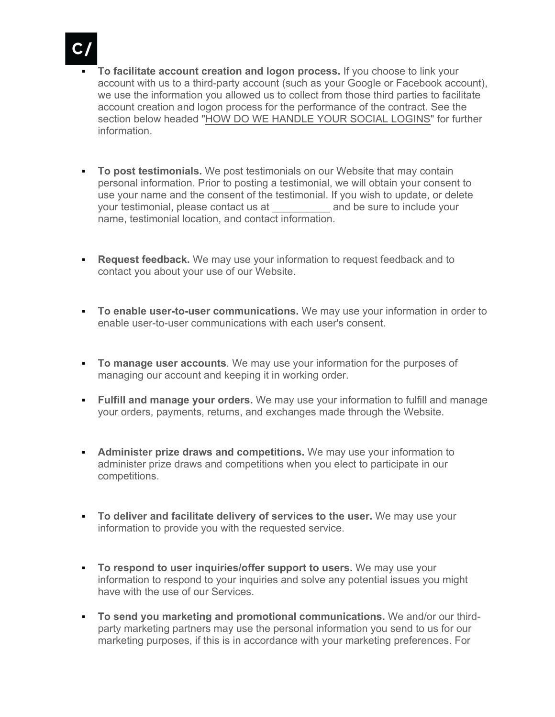

- § **To facilitate account creation and logon process.** If you choose to link your account with us to a third-party account (such as your Google or Facebook account), we use the information you allowed us to collect from those third parties to facilitate account creation and logon process for the performance of the contract. See the section below headed "HOW DO WE HANDLE YOUR SOCIAL LOGINS" for further information.
- **To post testimonials.** We post testimonials on our Website that may contain personal information. Prior to posting a testimonial, we will obtain your consent to use your name and the consent of the testimonial. If you wish to update, or delete your testimonial, please contact us at \_\_\_\_\_\_\_\_\_\_ and be sure to include your name, testimonial location, and contact information.
- **Request feedback.** We may use your information to request feedback and to contact you about your use of our Website.
- **To enable user-to-user communications.** We may use your information in order to enable user-to-user communications with each user's consent.
- **To manage user accounts**. We may use your information for the purposes of managing our account and keeping it in working order.
- **Fulfill and manage your orders.** We may use your information to fulfill and manage your orders, payments, returns, and exchanges made through the Website.
- **Administer prize draws and competitions.** We may use your information to administer prize draws and competitions when you elect to participate in our competitions.
- § **To deliver and facilitate delivery of services to the user.** We may use your information to provide you with the requested service.
- **To respond to user inquiries/offer support to users.** We may use your information to respond to your inquiries and solve any potential issues you might have with the use of our Services.
- § **To send you marketing and promotional communications.** We and/or our thirdparty marketing partners may use the personal information you send to us for our marketing purposes, if this is in accordance with your marketing preferences. For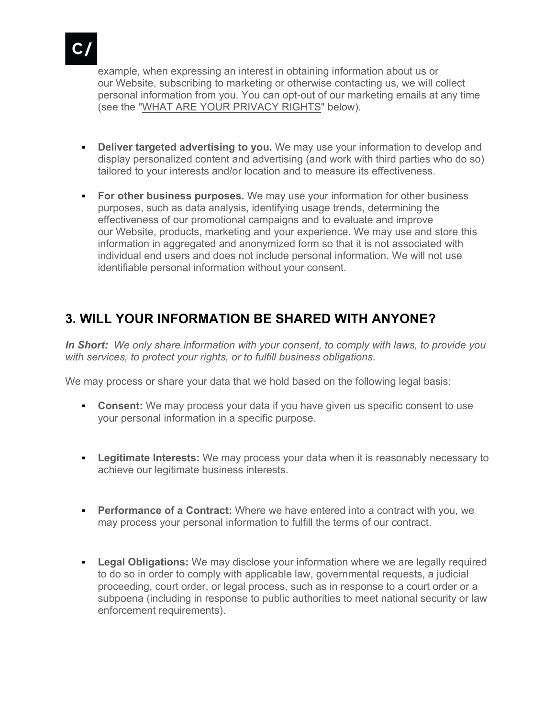

example, when expressing an interest in obtaining information about us or our Website, subscribing to marketing or otherwise contacting us, we will collect personal information from you. You can opt-out of our marketing emails at any time (see the "WHAT ARE YOUR PRIVACY RIGHTS" below).

- **Deliver targeted advertising to you.** We may use your information to develop and display personalized content and advertising (and work with third parties who do so) tailored to your interests and/or location and to measure its effectiveness.
- **For other business purposes.** We may use your information for other business purposes, such as data analysis, identifying usage trends, determining the effectiveness of our promotional campaigns and to evaluate and improve our Website, products, marketing and your experience. We may use and store this information in aggregated and anonymized form so that it is not associated with individual end users and does not include personal information. We will not use identifiable personal information without your consent.

# **3. WILL YOUR INFORMATION BE SHARED WITH ANYONE?**

*In Short: We only share information with your consent, to comply with laws, to provide you with services, to protect your rights, or to fulfill business obligations.*

We may process or share your data that we hold based on the following legal basis:

- § **Consent:** We may process your data if you have given us specific consent to use your personal information in a specific purpose.
- **Legitimate Interests:** We may process your data when it is reasonably necessary to achieve our legitimate business interests.
- **Performance of a Contract:** Where we have entered into a contract with you, we may process your personal information to fulfill the terms of our contract.
- **Legal Obligations:** We may disclose your information where we are legally required to do so in order to comply with applicable law, governmental requests, a judicial proceeding, court order, or legal process, such as in response to a court order or a subpoena (including in response to public authorities to meet national security or law enforcement requirements).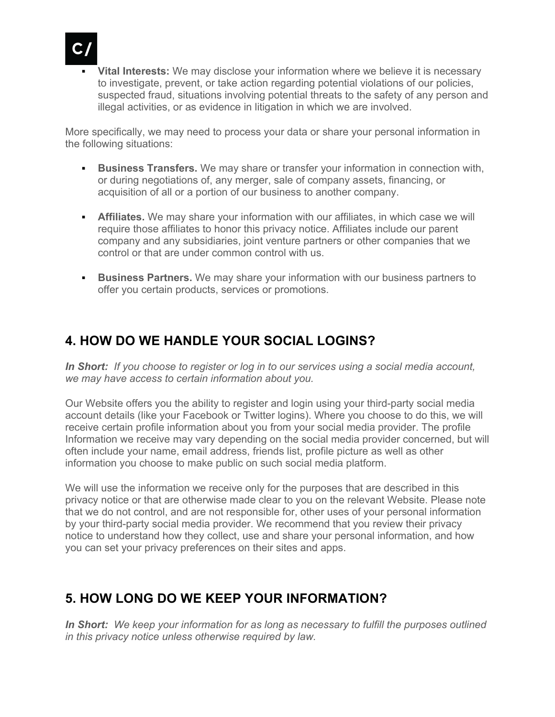

**Vital Interests:** We may disclose your information where we believe it is necessary to investigate, prevent, or take action regarding potential violations of our policies, suspected fraud, situations involving potential threats to the safety of any person and illegal activities, or as evidence in litigation in which we are involved.

More specifically, we may need to process your data or share your personal information in the following situations:

- **Business Transfers.** We may share or transfer your information in connection with, or during negotiations of, any merger, sale of company assets, financing, or acquisition of all or a portion of our business to another company.
- **Affiliates.** We may share your information with our affiliates, in which case we will require those affiliates to honor this privacy notice. Affiliates include our parent company and any subsidiaries, joint venture partners or other companies that we control or that are under common control with us.
- **Business Partners.** We may share your information with our business partners to offer you certain products, services or promotions.

# **4. HOW DO WE HANDLE YOUR SOCIAL LOGINS?**

*In Short: If you choose to register or log in to our services using a social media account, we may have access to certain information about you.*

Our Website offers you the ability to register and login using your third-party social media account details (like your Facebook or Twitter logins). Where you choose to do this, we will receive certain profile information about you from your social media provider. The profile Information we receive may vary depending on the social media provider concerned, but will often include your name, email address, friends list, profile picture as well as other information you choose to make public on such social media platform.

We will use the information we receive only for the purposes that are described in this privacy notice or that are otherwise made clear to you on the relevant Website. Please note that we do not control, and are not responsible for, other uses of your personal information by your third-party social media provider. We recommend that you review their privacy notice to understand how they collect, use and share your personal information, and how you can set your privacy preferences on their sites and apps.

# **5. HOW LONG DO WE KEEP YOUR INFORMATION?**

*In Short: We keep your information for as long as necessary to fulfill the purposes outlined in this privacy notice unless otherwise required by law.*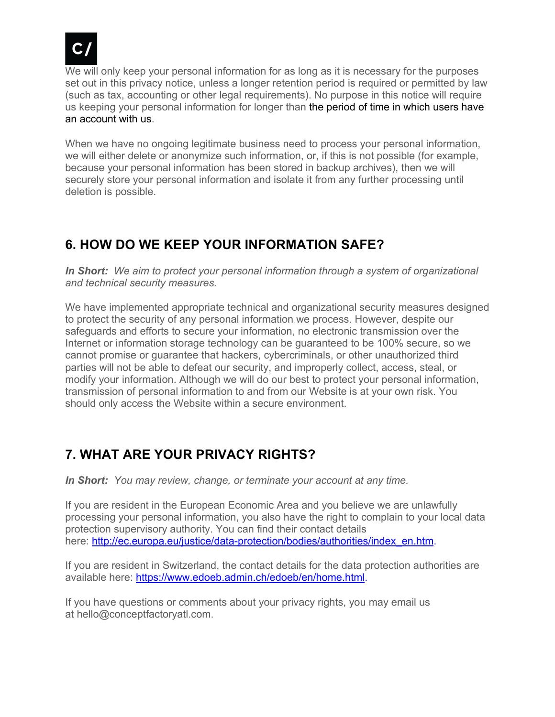

We will only keep your personal information for as long as it is necessary for the purposes set out in this privacy notice, unless a longer retention period is required or permitted by law (such as tax, accounting or other legal requirements). No purpose in this notice will require us keeping your personal information for longer than the period of time in which users have an account with us.

When we have no ongoing legitimate business need to process your personal information, we will either delete or anonymize such information, or, if this is not possible (for example, because your personal information has been stored in backup archives), then we will securely store your personal information and isolate it from any further processing until deletion is possible.

# **6. HOW DO WE KEEP YOUR INFORMATION SAFE?**

*In Short: We aim to protect your personal information through a system of organizational and technical security measures.*

We have implemented appropriate technical and organizational security measures designed to protect the security of any personal information we process. However, despite our safeguards and efforts to secure your information, no electronic transmission over the Internet or information storage technology can be guaranteed to be 100% secure, so we cannot promise or guarantee that hackers, cybercriminals, or other unauthorized third parties will not be able to defeat our security, and improperly collect, access, steal, or modify your information. Although we will do our best to protect your personal information, transmission of personal information to and from our Website is at your own risk. You should only access the Website within a secure environment.

# **7. WHAT ARE YOUR PRIVACY RIGHTS?**

*In Short: You may review, change, or terminate your account at any time.*

If you are resident in the European Economic Area and you believe we are unlawfully processing your personal information, you also have the right to complain to your local data protection supervisory authority. You can find their contact details here: http://ec.europa.eu/justice/data-protection/bodies/authorities/index\_en.htm.

If you are resident in Switzerland, the contact details for the data protection authorities are available here: https://www.edoeb.admin.ch/edoeb/en/home.html.

If you have questions or comments about your privacy rights, you may email us at hello@conceptfactoryatl.com.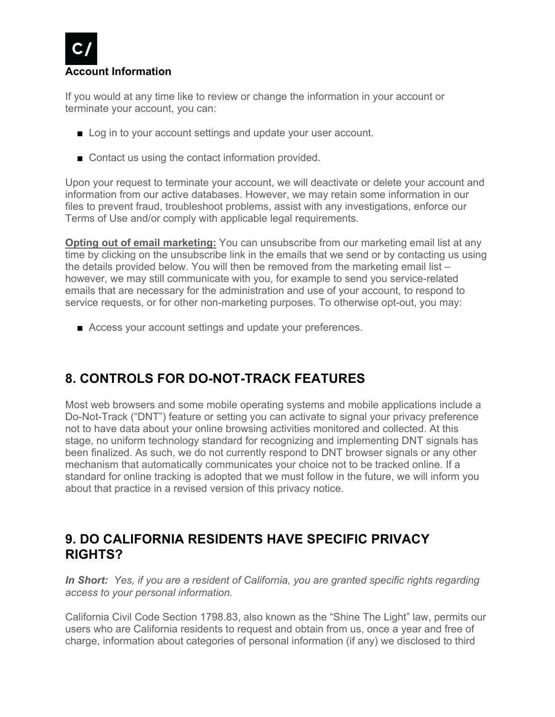

If you would at any time like to review or change the information in your account or terminate your account, you can:

- Log in to your account settings and update your user account.
- Contact us using the contact information provided.

Upon your request to terminate your account, we will deactivate or delete your account and information from our active databases. However, we may retain some information in our files to prevent fraud, troubleshoot problems, assist with any investigations, enforce our Terms of Use and/or comply with applicable legal requirements.

**Opting out of email marketing:** You can unsubscribe from our marketing email list at any time by clicking on the unsubscribe link in the emails that we send or by contacting us using the details provided below. You will then be removed from the marketing email list – however, we may still communicate with you, for example to send you service-related emails that are necessary for the administration and use of your account, to respond to service requests, or for other non-marketing purposes. To otherwise opt-out, you may:

■ Access your account settings and update your preferences.

# **8. CONTROLS FOR DO-NOT-TRACK FEATURES**

Most web browsers and some mobile operating systems and mobile applications include a Do-Not-Track ("DNT") feature or setting you can activate to signal your privacy preference not to have data about your online browsing activities monitored and collected. At this stage, no uniform technology standard for recognizing and implementing DNT signals has been finalized. As such, we do not currently respond to DNT browser signals or any other mechanism that automatically communicates your choice not to be tracked online. If a standard for online tracking is adopted that we must follow in the future, we will inform you about that practice in a revised version of this privacy notice.

# **9. DO CALIFORNIA RESIDENTS HAVE SPECIFIC PRIVACY RIGHTS?**

*In Short: Yes, if you are a resident of California, you are granted specific rights regarding access to your personal information.*

California Civil Code Section 1798.83, also known as the "Shine The Light" law, permits our users who are California residents to request and obtain from us, once a year and free of charge, information about categories of personal information (if any) we disclosed to third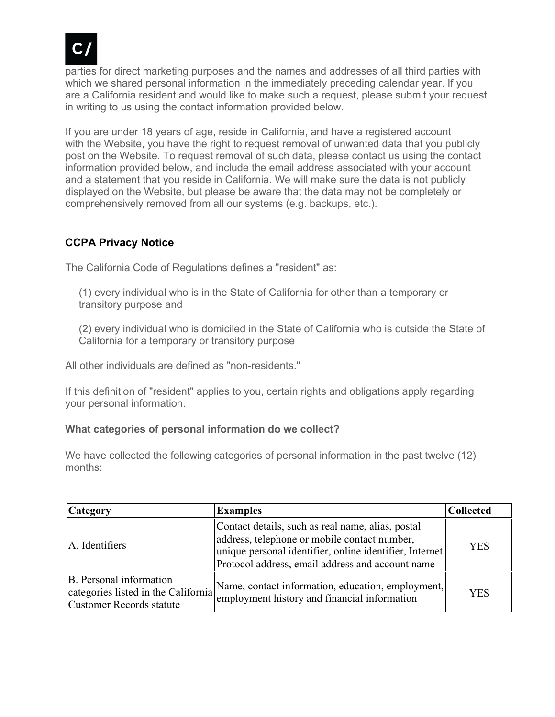

parties for direct marketing purposes and the names and addresses of all third parties with which we shared personal information in the immediately preceding calendar year. If you are a California resident and would like to make such a request, please submit your request in writing to us using the contact information provided below.

If you are under 18 years of age, reside in California, and have a registered account with the Website, you have the right to request removal of unwanted data that you publicly post on the Website. To request removal of such data, please contact us using the contact information provided below, and include the email address associated with your account and a statement that you reside in California. We will make sure the data is not publicly displayed on the Website, but please be aware that the data may not be completely or comprehensively removed from all our systems (e.g. backups, etc.).

### **CCPA Privacy Notice**

The California Code of Regulations defines a "resident" as:

(1) every individual who is in the State of California for other than a temporary or transitory purpose and

(2) every individual who is domiciled in the State of California who is outside the State of California for a temporary or transitory purpose

All other individuals are defined as "non-residents."

If this definition of "resident" applies to you, certain rights and obligations apply regarding your personal information.

### **What categories of personal information do we collect?**

We have collected the following categories of personal information in the past twelve (12) months:

| <b>Category</b>                                                                            | <b>Examples</b>                                                                                                                                                                                                  | <b>Collected</b> |
|--------------------------------------------------------------------------------------------|------------------------------------------------------------------------------------------------------------------------------------------------------------------------------------------------------------------|------------------|
| A. Identifiers                                                                             | Contact details, such as real name, alias, postal<br>address, telephone or mobile contact number,<br>unique personal identifier, online identifier, Internet<br>Protocol address, email address and account name | YES.             |
| B. Personal information<br>categories listed in the California<br>Customer Records statute | Name, contact information, education, employment,<br>employment history and financial information                                                                                                                | <b>YES</b>       |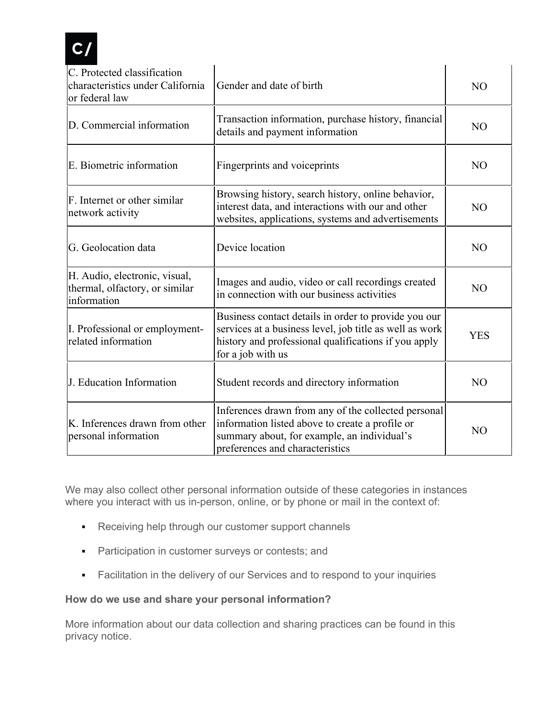

| C. Protected classification<br>characteristics under California<br>or federal law | Gender and date of birth                                                                                                                                                                     | N <sub>O</sub> |
|-----------------------------------------------------------------------------------|----------------------------------------------------------------------------------------------------------------------------------------------------------------------------------------------|----------------|
| D. Commercial information                                                         | Transaction information, purchase history, financial<br>details and payment information                                                                                                      | N <sub>O</sub> |
| E. Biometric information                                                          | Fingerprints and voiceprints                                                                                                                                                                 | N <sub>O</sub> |
| F. Internet or other similar<br>network activity                                  | Browsing history, search history, online behavior,<br>interest data, and interactions with our and other<br>websites, applications, systems and advertisements                               | N <sub>O</sub> |
| G. Geolocation data                                                               | Device location                                                                                                                                                                              | NO             |
| H. Audio, electronic, visual,<br>thermal, olfactory, or similar<br>information    | Images and audio, video or call recordings created<br>in connection with our business activities                                                                                             | NO             |
| I. Professional or employment-<br>related information                             | Business contact details in order to provide you our<br>services at a business level, job title as well as work<br>history and professional qualifications if you apply<br>for a job with us | <b>YES</b>     |
| J. Education Information                                                          | Student records and directory information                                                                                                                                                    | N <sub>O</sub> |
| K. Inferences drawn from other<br>personal information                            | Inferences drawn from any of the collected personal<br>information listed above to create a profile or<br>summary about, for example, an individual's<br>preferences and characteristics     | N <sub>O</sub> |

We may also collect other personal information outside of these categories in instances where you interact with us in-person, online, or by phone or mail in the context of:

- Receiving help through our customer support channels
- **Participation in customer surveys or contests; and**
- Facilitation in the delivery of our Services and to respond to your inquiries

### **How do we use and share your personal information?**

More information about our data collection and sharing practices can be found in this privacy notice.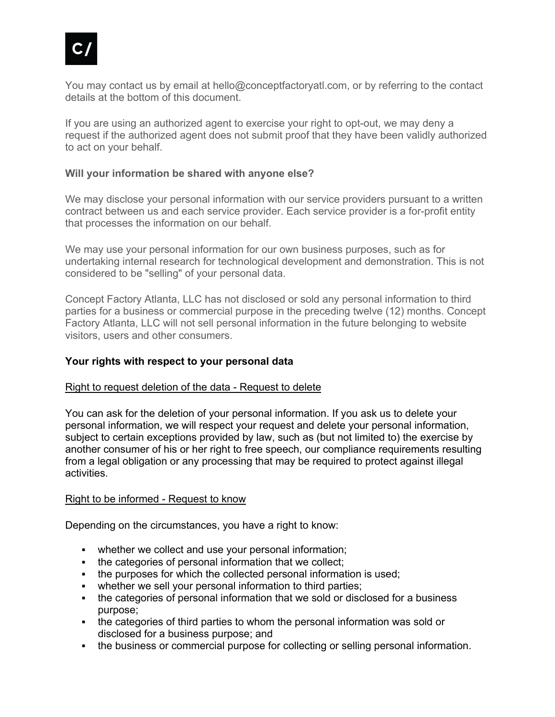

You may contact us by email at hello@conceptfactoryatl.com, or by referring to the contact details at the bottom of this document.

If you are using an authorized agent to exercise your right to opt-out, we may deny a request if the authorized agent does not submit proof that they have been validly authorized to act on your behalf.

### **Will your information be shared with anyone else?**

We may disclose your personal information with our service providers pursuant to a written contract between us and each service provider. Each service provider is a for-profit entity that processes the information on our behalf.

We may use your personal information for our own business purposes, such as for undertaking internal research for technological development and demonstration. This is not considered to be "selling" of your personal data.

Concept Factory Atlanta, LLC has not disclosed or sold any personal information to third parties for a business or commercial purpose in the preceding twelve (12) months. Concept Factory Atlanta, LLC will not sell personal information in the future belonging to website visitors, users and other consumers.

### **Your rights with respect to your personal data**

#### Right to request deletion of the data - Request to delete

You can ask for the deletion of your personal information. If you ask us to delete your personal information, we will respect your request and delete your personal information, subject to certain exceptions provided by law, such as (but not limited to) the exercise by another consumer of his or her right to free speech, our compliance requirements resulting from a legal obligation or any processing that may be required to protect against illegal activities.

#### Right to be informed - Request to know

Depending on the circumstances, you have a right to know:

- whether we collect and use your personal information;
- the categories of personal information that we collect;
- the purposes for which the collected personal information is used;
- whether we sell your personal information to third parties;
- the categories of personal information that we sold or disclosed for a business purpose;
- the categories of third parties to whom the personal information was sold or disclosed for a business purpose; and
- the business or commercial purpose for collecting or selling personal information.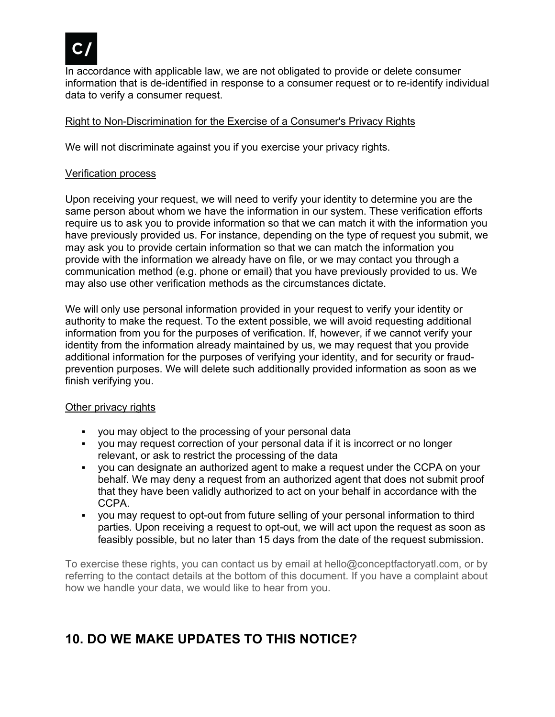

In accordance with applicable law, we are not obligated to provide or delete consumer information that is de-identified in response to a consumer request or to re-identify individual data to verify a consumer request.

### Right to Non-Discrimination for the Exercise of a Consumer's Privacy Rights

We will not discriminate against you if you exercise your privacy rights.

#### Verification process

Upon receiving your request, we will need to verify your identity to determine you are the same person about whom we have the information in our system. These verification efforts require us to ask you to provide information so that we can match it with the information you have previously provided us. For instance, depending on the type of request you submit, we may ask you to provide certain information so that we can match the information you provide with the information we already have on file, or we may contact you through a communication method (e.g. phone or email) that you have previously provided to us. We may also use other verification methods as the circumstances dictate.

We will only use personal information provided in your request to verify your identity or authority to make the request. To the extent possible, we will avoid requesting additional information from you for the purposes of verification. If, however, if we cannot verify your identity from the information already maintained by us, we may request that you provide additional information for the purposes of verifying your identity, and for security or fraudprevention purposes. We will delete such additionally provided information as soon as we finish verifying you.

#### Other privacy rights

- you may object to the processing of your personal data
- you may request correction of your personal data if it is incorrect or no longer relevant, or ask to restrict the processing of the data
- you can designate an authorized agent to make a request under the CCPA on your behalf. We may deny a request from an authorized agent that does not submit proof that they have been validly authorized to act on your behalf in accordance with the CCPA.
- you may request to opt-out from future selling of your personal information to third parties. Upon receiving a request to opt-out, we will act upon the request as soon as feasibly possible, but no later than 15 days from the date of the request submission.

To exercise these rights, you can contact us by email at hello@conceptfactoryatl.com, or by referring to the contact details at the bottom of this document. If you have a complaint about how we handle your data, we would like to hear from you.

# **10. DO WE MAKE UPDATES TO THIS NOTICE?**